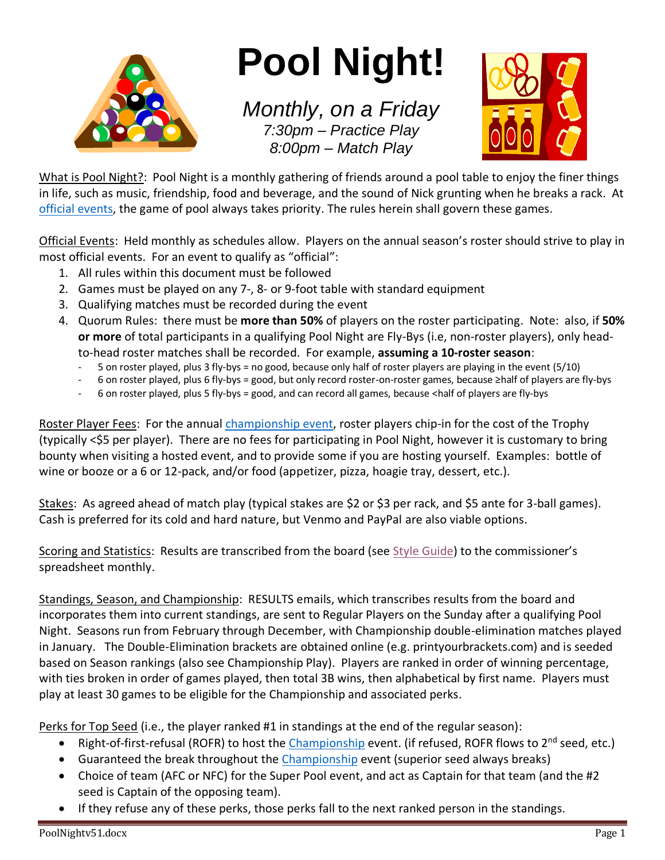

# **Pool Night!**

*Monthly, on a Friday 7:30pm – Practice Play 8:00pm – Match Play*



What is Pool Night?: Pool Night is a monthly gathering of friends around a pool table to enjoy the finer things in life, such as music, friendship, food and beverage, and the sound of Nick grunting when he breaks a rack. At [official events,](#page-0-0) the game of pool always takes priority. The rules herein shall govern these games.

<span id="page-0-0"></span>Official Events: Held monthly as schedules allow. Players on the annual season's roster should strive to play in most official events. For an event to qualify as "official":

- 1. All rules within this document must be followed
- 2. Games must be played on any 7-, 8- or 9-foot table with standard equipment
- 3. Qualifying matches must be recorded during the event
- 4. Quorum Rules: there must be **more than 50%** of players on the roster participating. Note: also, if **50% or more** of total participants in a qualifying Pool Night are Fly-Bys (i.e, non-roster players), only headto-head roster matches shall be recorded. For example, **assuming a 10-roster season**:
	- 5 on roster played, plus 3 fly-bys = no good, because only half of roster players are playing in the event (5/10)
	- 6 on roster played, plus 6 fly-bys = good, but only record roster-on-roster games, because ≥half of players are fly-bys
	- 6 on roster played, plus 5 fly-bys = good, and can record all games, because <half of players are fly-bys

Roster Player Fees: For the annual [championship event,](#page-2-0) roster players chip-in for the cost of the Trophy (typically <\$5 per player). There are no fees for participating in Pool Night, however it is customary to bring bounty when visiting a hosted event, and to provide some if you are hosting yourself. Examples: bottle of wine or booze or a 6 or 12-pack, and/or food (appetizer, pizza, hoagie tray, dessert, etc.).

<span id="page-0-1"></span>Stakes: As agreed ahead of match play (typical stakes are \$2 or \$3 per rack, and \$5 ante for 3-ball games). Cash is preferred for its cold and hard nature, but Venmo and PayPal are also viable options.

Scoring and Statistics: Results are transcribed from the board (see [Style Guide\)](#page-3-0) to the commissioner's spreadsheet monthly.

Standings, Season, and Championship: RESULTS emails, which transcribes results from the board and incorporates them into current standings, are sent to Regular Players on the Sunday after a qualifying Pool Night. Seasons run from February through December, with Championship double-elimination matches played in January. The Double-Elimination brackets are obtained online (e.g. printyourbrackets.com) and is seeded based on Season rankings (also see Championship Play). Players are ranked in order of winning percentage, with ties broken in order of games played, then total 3B wins, then alphabetical by first name. Players must play at least 30 games to be eligible for the Championship and associated perks.

Perks for Top Seed (i.e., the player ranked #1 in standings at the end of the regular season):

- Right-of-first-refusal (ROFR) to host the [Championship](#page-2-0) event. (if refused, ROFR flows to 2<sup>nd</sup> seed, etc.)
- Guaranteed the break throughout the [Championship](#page-2-0) event (superior seed always breaks)
- Choice of team (AFC or NFC) for the Super Pool event, and act as Captain for that team (and the #2 seed is Captain of the opposing team).
- If they refuse any of these perks, those perks fall to the next ranked person in the standings.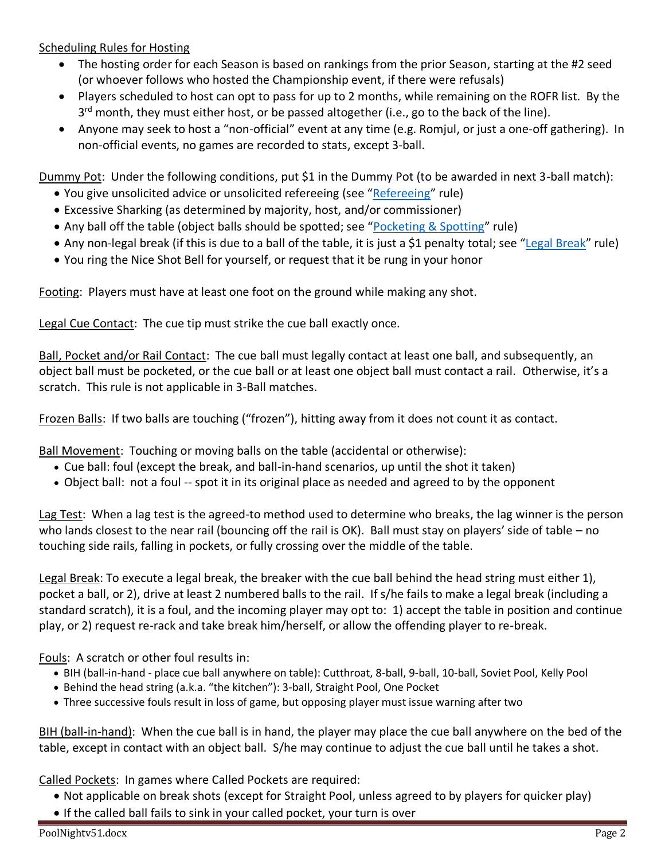Scheduling Rules for Hosting

- The hosting order for each Season is based on rankings from the prior Season, starting at the #2 seed (or whoever follows who hosted the Championship event, if there were refusals)
- Players scheduled to host can opt to pass for up to 2 months, while remaining on the ROFR list. By the 3<sup>rd</sup> month, they must either host, or be passed altogether (i.e., go to the back of the line).
- Anyone may seek to host a "non-official" event at any time (e.g. Romjul, or just a one-off gathering). In non-official events, no games are recorded to stats, except 3-ball.

<span id="page-1-1"></span>Dummy Pot: Under the following conditions, put \$1 in the Dummy Pot (to be awarded in next 3-ball match):

- You give unsolicited advice or unsolicited refereeing (see "[Refereeing](#page-2-1)" rule)
- Excessive Sharking (as determined by majority, host, and/or commissioner)
- Any ball off the table (object balls should be spotted; see "[Pocketing & Spotting](#page-2-2)" rule)
- Any non-legal break (if this is due to a ball of the table, it is just a \$1 penalty total; see "[Legal Break](#page-1-0)" rule)
- You ring the Nice Shot Bell for yourself, or request that it be rung in your honor

Footing: Players must have at least one foot on the ground while making any shot.

Legal Cue Contact: The cue tip must strike the cue ball exactly once.

<span id="page-1-3"></span>Ball, Pocket and/or Rail Contact: The cue ball must legally contact at least one ball, and subsequently, an object ball must be pocketed, or the cue ball or at least one object ball must contact a rail. Otherwise, it's a scratch. This rule is not applicable in 3-Ball matches.

Frozen Balls: If two balls are touching ("frozen"), hitting away from it does not count it as contact.

Ball Movement: Touching or moving balls on the table (accidental or otherwise):

- Cue ball: foul (except the break, and ball-in-hand scenarios, up until the shot it taken)
- Object ball: not a foul -- spot it in its original place as needed and agreed to by the opponent

Lag Test: When a lag test is the agreed-to method used to determine who breaks, the lag winner is the person who lands closest to the near rail (bouncing off the rail is OK). Ball must stay on players' side of table – no touching side rails, falling in pockets, or fully crossing over the middle of the table.

<span id="page-1-0"></span>Legal Break: To execute a legal break, the breaker with the cue ball behind the head string must either 1), pocket a ball, or 2), drive at least 2 numbered balls to the rail. If s/he fails to make a legal break (including a standard scratch), it is a foul, and the incoming player may opt to: 1) accept the table in position and continue play, or 2) request re-rack and take break him/herself, or allow the offending player to re-break.

Fouls: A scratch or other foul results in:

- BIH (ball-in-hand place cue ball anywhere on table): Cutthroat, 8-ball, 9-ball, 10-ball, Soviet Pool, Kelly Pool
- Behind the head string (a.k.a. "the kitchen"): 3-ball, Straight Pool, One Pocket
- Three successive fouls result in loss of game, but opposing player must issue warning after two

BIH (ball-in-hand): When the cue ball is in hand, the player may place the cue ball anywhere on the bed of the table, except in contact with an object ball. S/he may continue to adjust the cue ball until he takes a shot.

<span id="page-1-2"></span>Called Pockets: In games where Called Pockets are required:

- Not applicable on break shots (except for Straight Pool, unless agreed to by players for quicker play)
- If the called ball fails to sink in your called pocket, your turn is over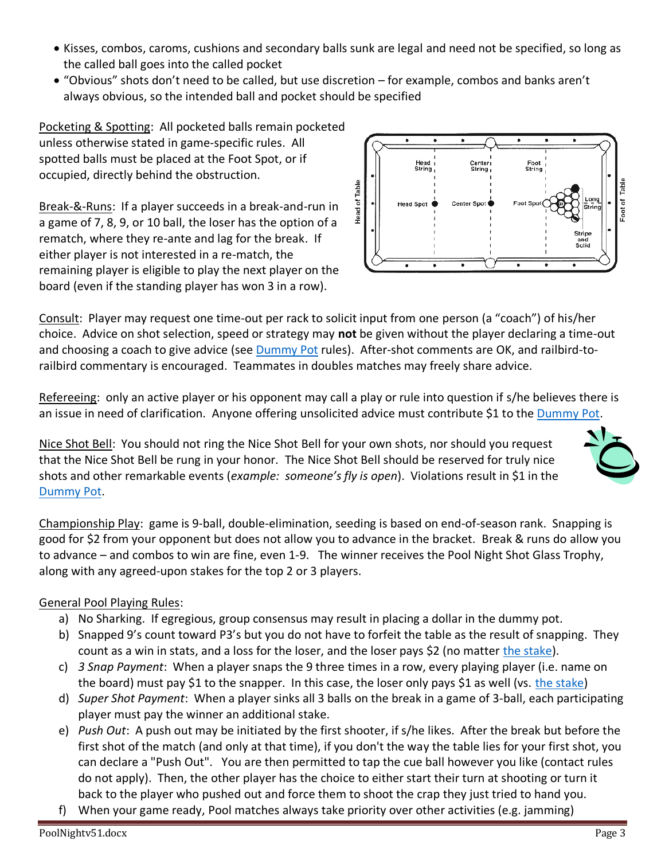- Kisses, combos, caroms, cushions and secondary balls sunk are legal and need not be specified, so long as the called ball goes into the called pocket
- "Obvious" shots don't need to be called, but use discretion for example, combos and banks aren't always obvious, so the intended ball and pocket should be specified

<span id="page-2-2"></span>Pocketing & Spotting: All pocketed balls remain pocketed unless otherwise stated in game-specific rules. All spotted balls must be placed at the Foot Spot, or if occupied, directly behind the obstruction.

Break-&-Runs: If a player succeeds in a break-and-run in a game of 7, 8, 9, or 10 ball, the loser has the option of a rematch, where they re-ante and lag for the break. If either player is not interested in a re-match, the remaining player is eligible to play the next player on the board (even if the standing player has won 3 in a row).



Consult: Player may request one time-out per rack to solicit input from one person (a "coach") of his/her choice. Advice on shot selection, speed or strategy may **not** be given without the player declaring a time-out and choosing a coach to give advice (see **Dummy Pot rules).** After-shot comments are OK, and railbird-torailbird commentary is encouraged. Teammates in doubles matches may freely share advice.

<span id="page-2-1"></span>Refereeing: only an active player or his opponent may call a play or rule into question if s/he believes there is an issue in need of clarification. Anyone offering unsolicited advice must contribute \$1 to the [Dummy Pot.](#page-1-1)

Nice Shot Bell: You should not ring the Nice Shot Bell for your own shots, nor should you request that the Nice Shot Bell be rung in your honor. The Nice Shot Bell should be reserved for truly nice shots and other remarkable events (*example: someone's fly is open*). Violations result in \$1 in the [Dummy Pot.](#page-1-1)

<span id="page-2-0"></span>Championship Play: game is 9-ball, double-elimination, seeding is based on end-of-season rank. Snapping is good for \$2 from your opponent but does not allow you to advance in the bracket. Break & runs do allow you to advance – and combos to win are fine, even 1-9. The winner receives the Pool Night Shot Glass Trophy, along with any agreed-upon stakes for the top 2 or 3 players.

### General Pool Playing Rules:

- a) No Sharking. If egregious, group consensus may result in placing a dollar in the dummy pot.
- b) Snapped 9's count toward P3's but you do not have to forfeit the table as the result of snapping. They count as a win in stats, and a loss for the loser, and the loser pays \$2 (no matter [the stake\)](#page-0-1).
- c) *3 Snap Payment*: When a player snaps the 9 three times in a row, every playing player (i.e. name on the board) must pay \$1 to the snapper. In this case, the loser only pays \$1 as well (vs. [the stake\)](#page-0-1)
- d) *Super Shot Payment*: When a player sinks all 3 balls on the break in a game of 3-ball, each participating player must pay the winner an additional stake.
- e) *Push Out*: A push out may be initiated by the first shooter, if s/he likes. After the break but before the first shot of the match (and only at that time), if you don't the way the table lies for your first shot, you can declare a "Push Out". You are then permitted to tap the cue ball however you like (contact rules do not apply). Then, the other player has the choice to either start their turn at shooting or turn it back to the player who pushed out and force them to shoot the crap they just tried to hand you.
- f) When your game ready, Pool matches always take priority over other activities (e.g. jamming)

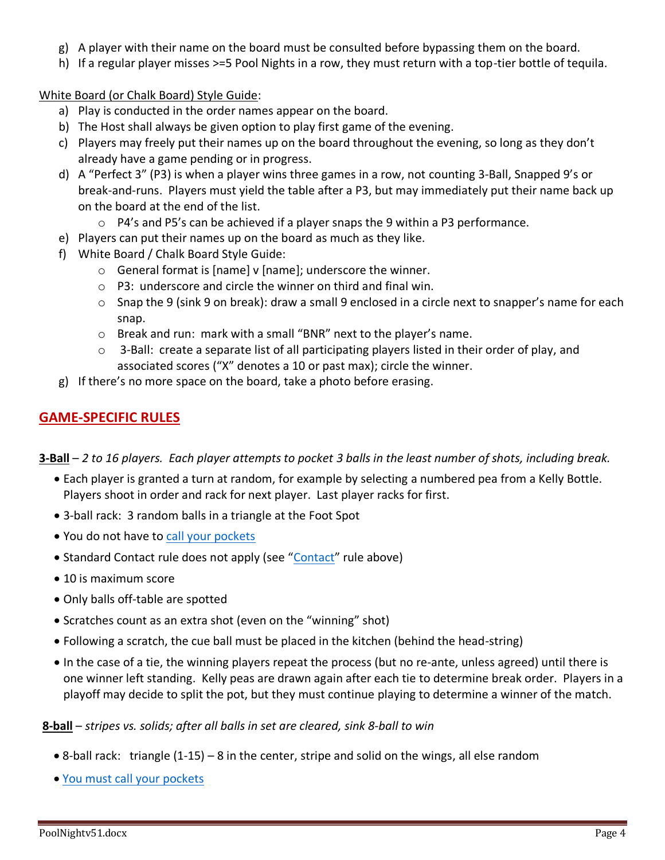- g) A player with their name on the board must be consulted before bypassing them on the board.
- h) If a regular player misses >=5 Pool Nights in a row, they must return with a top-tier bottle of tequila.

<span id="page-3-0"></span>White Board (or Chalk Board) Style Guide:

- a) Play is conducted in the order names appear on the board.
- b) The Host shall always be given option to play first game of the evening.
- c) Players may freely put their names up on the board throughout the evening, so long as they don't already have a game pending or in progress.
- d) A "Perfect 3" (P3) is when a player wins three games in a row, not counting 3-Ball, Snapped 9's or break-and-runs. Players must yield the table after a P3, but may immediately put their name back up on the board at the end of the list.
	- o P4's and P5's can be achieved if a player snaps the 9 within a P3 performance.
- e) Players can put their names up on the board as much as they like.
- f) White Board / Chalk Board Style Guide:
	- o General format is [name] v [name]; underscore the winner.
	- o P3: underscore and circle the winner on third and final win.
	- $\circ$  Snap the 9 (sink 9 on break): draw a small 9 enclosed in a circle next to snapper's name for each snap.
	- o Break and run: mark with a small "BNR" next to the player's name.
	- $\circ$  3-Ball: create a separate list of all participating players listed in their order of play, and associated scores ("X" denotes a 10 or past max); circle the winner.
- g) If there's no more space on the board, take a photo before erasing.

#### **GAME-SPECIFIC RULES**

**3-Ball** – *2 to 16 players. Each player attempts to pocket 3 balls in the least number of shots, including break.*

- Each player is granted a turn at random, for example by selecting a numbered pea from a Kelly Bottle. Players shoot in order and rack for next player. Last player racks for first.
- 3-ball rack: 3 random balls in a triangle at the Foot Spot
- You do not have to [call your pockets](#page-1-2)
- Standard [Contact](#page-1-3) rule does not apply (see "Contact" rule above)
- 10 is maximum score
- Only balls off-table are spotted
- Scratches count as an extra shot (even on the "winning" shot)
- Following a scratch, the cue ball must be placed in the kitchen (behind the head-string)
- In the case of a tie, the winning players repeat the process (but no re-ante, unless agreed) until there is one winner left standing. Kelly peas are drawn again after each tie to determine break order. Players in a playoff may decide to split the pot, but they must continue playing to determine a winner of the match.

#### **8-ball** – *stripes vs. solids; after all balls in set are cleared, sink 8-ball to win*

- 8-ball rack: triangle (1-15) 8 in the center, stripe and solid on the wings, all else random
- [You must call your pockets](#page-1-2)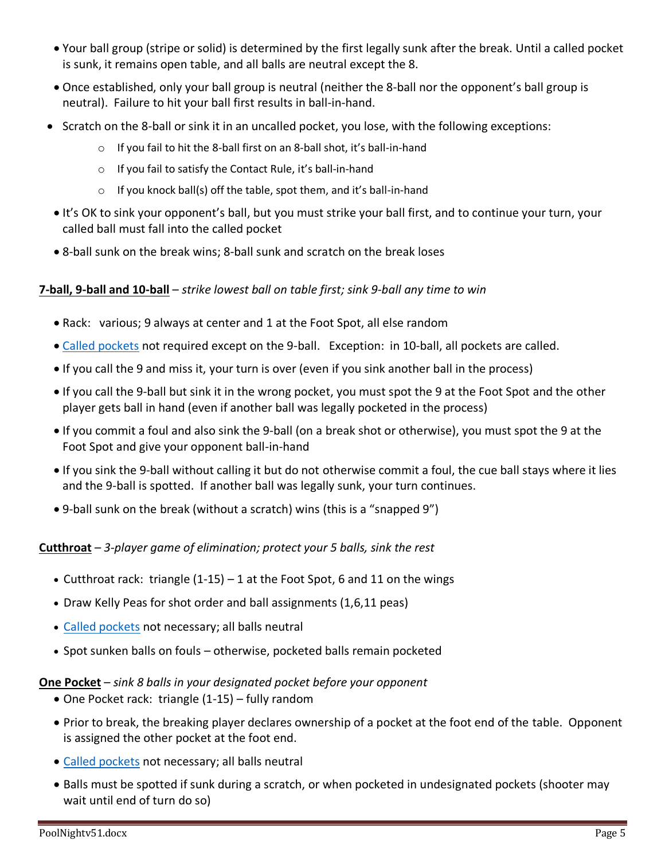- Your ball group (stripe or solid) is determined by the first legally sunk after the break. Until a called pocket is sunk, it remains open table, and all balls are neutral except the 8.
- Once established, only your ball group is neutral (neither the 8-ball nor the opponent's ball group is neutral). Failure to hit your ball first results in ball-in-hand.
- Scratch on the 8-ball or sink it in an uncalled pocket, you lose, with the following exceptions:
	- o If you fail to hit the 8-ball first on an 8-ball shot, it's ball-in-hand
	- o If you fail to satisfy the Contact Rule, it's ball-in-hand
	- $\circ$  If you knock ball(s) off the table, spot them, and it's ball-in-hand
- It's OK to sink your opponent's ball, but you must strike your ball first, and to continue your turn, your called ball must fall into the called pocket
- 8-ball sunk on the break wins; 8-ball sunk and scratch on the break loses

#### **7-ball, 9-ball and 10-ball** – *strike lowest ball on table first; sink 9-ball any time to win*

- Rack: various; 9 always at center and 1 at the Foot Spot, all else random
- [Called pockets](#page-1-2) not required except on the 9-ball. Exception: in 10-ball, all pockets are called.
- If you call the 9 and miss it, your turn is over (even if you sink another ball in the process)
- If you call the 9-ball but sink it in the wrong pocket, you must spot the 9 at the Foot Spot and the other player gets ball in hand (even if another ball was legally pocketed in the process)
- If you commit a foul and also sink the 9-ball (on a break shot or otherwise), you must spot the 9 at the Foot Spot and give your opponent ball-in-hand
- If you sink the 9-ball without calling it but do not otherwise commit a foul, the cue ball stays where it lies and the 9-ball is spotted. If another ball was legally sunk, your turn continues.
- 9-ball sunk on the break (without a scratch) wins (this is a "snapped 9")

#### **Cutthroat** – *3-player game of elimination; protect your 5 balls, sink the rest*

- Cutthroat rack: triangle (1-15) 1 at the Foot Spot, 6 and 11 on the wings
- Draw Kelly Peas for shot order and ball assignments (1,6,11 peas)
- [Called pockets](#page-1-2) not necessary; all balls neutral
- Spot sunken balls on fouls otherwise, pocketed balls remain pocketed

#### **One Pocket** – *sink 8 balls in your designated pocket before your opponent*

- One Pocket rack: triangle (1-15) fully random
- Prior to break, the breaking player declares ownership of a pocket at the foot end of the table. Opponent is assigned the other pocket at the foot end.
- [Called pockets](#page-1-2) not necessary; all balls neutral
- Balls must be spotted if sunk during a scratch, or when pocketed in undesignated pockets (shooter may wait until end of turn do so)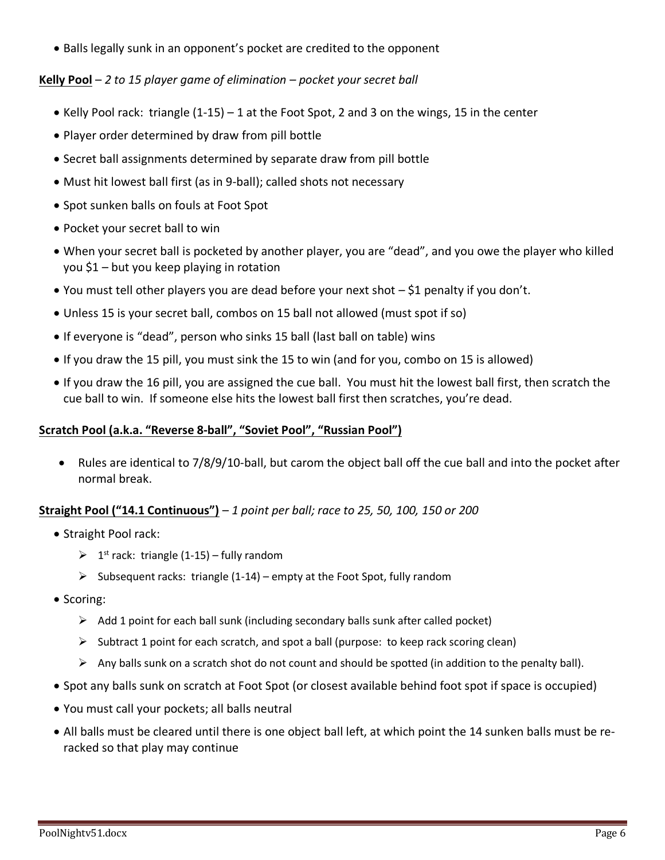• Balls legally sunk in an opponent's pocket are credited to the opponent

#### **Kelly Pool** – *2 to 15 player game of elimination – pocket your secret ball*

- Kelly Pool rack: triangle (1-15) 1 at the Foot Spot, 2 and 3 on the wings, 15 in the center
- Player order determined by draw from pill bottle
- Secret ball assignments determined by separate draw from pill bottle
- Must hit lowest ball first (as in 9-ball); called shots not necessary
- Spot sunken balls on fouls at Foot Spot
- Pocket your secret ball to win
- When your secret ball is pocketed by another player, you are "dead", and you owe the player who killed you \$1 – but you keep playing in rotation
- You must tell other players you are dead before your next shot \$1 penalty if you don't.
- Unless 15 is your secret ball, combos on 15 ball not allowed (must spot if so)
- If everyone is "dead", person who sinks 15 ball (last ball on table) wins
- If you draw the 15 pill, you must sink the 15 to win (and for you, combo on 15 is allowed)
- If you draw the 16 pill, you are assigned the cue ball. You must hit the lowest ball first, then scratch the cue ball to win. If someone else hits the lowest ball first then scratches, you're dead.

#### **Scratch Pool (a.k.a. "Reverse 8-ball", "Soviet Pool", "Russian Pool")**

• Rules are identical to 7/8/9/10-ball, but carom the object ball off the cue ball and into the pocket after normal break.

#### **Straight Pool ("14.1 Continuous")** – *1 point per ball; race to 25, 50, 100, 150 or 200*

- Straight Pool rack:
	- $\geq 1^{st}$  rack: triangle (1-15) fully random
	- $\triangleright$  Subsequent racks: triangle (1-14) empty at the Foot Spot, fully random
- Scoring:
	- $\triangleright$  Add 1 point for each ball sunk (including secondary balls sunk after called pocket)
	- $\triangleright$  Subtract 1 point for each scratch, and spot a ball (purpose: to keep rack scoring clean)
	- $\triangleright$  Any balls sunk on a scratch shot do not count and should be spotted (in addition to the penalty ball).
- Spot any balls sunk on scratch at Foot Spot (or closest available behind foot spot if space is occupied)
- You must call your pockets; all balls neutral
- All balls must be cleared until there is one object ball left, at which point the 14 sunken balls must be reracked so that play may continue